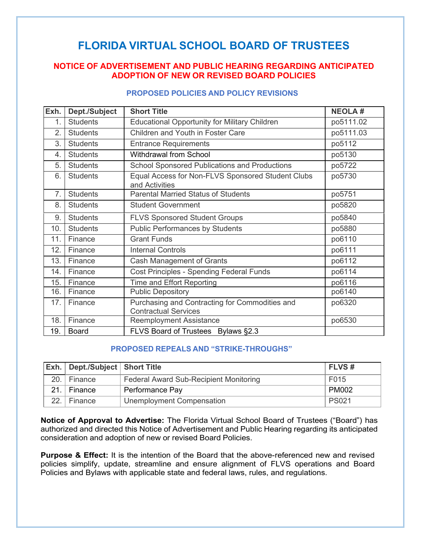## **FLORIDA VIRTUAL SCHOOL BOARD OF TRUSTEES**

## **NOTICE OF ADVERTISEMENT AND PUBLIC HEARING REGARDING ANTICIPATED ADOPTION OF NEW OR REVISED BOARD POLICIES**

## **PROPOSED POLICIES AND POLICY REVISIONS**

| Exh. | Dept./Subject   | <b>Short Title</b>                                                            | <b>NEOLA#</b> |
|------|-----------------|-------------------------------------------------------------------------------|---------------|
| 1.   | <b>Students</b> | <b>Educational Opportunity for Military Children</b>                          | po5111.02     |
| 2.   | <b>Students</b> | Children and Youth in Foster Care                                             | po5111.03     |
| 3.   | <b>Students</b> | <b>Entrance Requirements</b>                                                  | po5112        |
| 4.   | <b>Students</b> | <b>Withdrawal from School</b>                                                 | po5130        |
| 5.   | <b>Students</b> | <b>School Sponsored Publications and Productions</b>                          | po5722        |
| 6.   | <b>Students</b> | Equal Access for Non-FLVS Sponsored Student Clubs<br>and Activities           | po5730        |
| 7.   | <b>Students</b> | <b>Parental Married Status of Students</b>                                    | po5751        |
| 8.   | <b>Students</b> | <b>Student Government</b>                                                     | po5820        |
| 9.   | <b>Students</b> | <b>FLVS Sponsored Student Groups</b>                                          | po5840        |
| 10.  | <b>Students</b> | <b>Public Performances by Students</b>                                        | po5880        |
| 11.  | Finance         | <b>Grant Funds</b>                                                            | po6110        |
| 12.  | Finance         | <b>Internal Controls</b>                                                      | po6111        |
| 13.  | Finance         | Cash Management of Grants                                                     | po6112        |
| 14.  | Finance         | <b>Cost Principles - Spending Federal Funds</b>                               | po6114        |
| 15.  | Finance         | Time and Effort Reporting                                                     | po6116        |
| 16.  | Finance         | <b>Public Depository</b>                                                      | po6140        |
| 17.  | Finance         | Purchasing and Contracting for Commodities and<br><b>Contractual Services</b> | po6320        |
| 18.  | Finance         | <b>Reemployment Assistance</b>                                                | po6530        |
| 19.  | <b>Board</b>    | FLVS Board of Trustees Bylaws §2.3                                            |               |

## **PROPOSED REPEALS AND "STRIKE-THROUGHS"**

|                 | <b>Exh.</b> Dept./Subject Short Title |                                               | <b>FLVS#</b> |
|-----------------|---------------------------------------|-----------------------------------------------|--------------|
|                 | 20. Finance                           | <b>Federal Award Sub-Recipient Monitoring</b> | F015         |
| 21.             | Finance                               | Performance Pay                               | <b>PM002</b> |
| 22 <sub>2</sub> | Finance                               | Unemployment Compensation                     | <b>PS021</b> |

**Notice of Approval to Advertise:** The Florida Virtual School Board of Trustees ("Board") has authorized and directed this Notice of Advertisement and Public Hearing regarding its anticipated consideration and adoption of new or revised Board Policies.

**Purpose & Effect:** It is the intention of the Board that the above-referenced new and revised policies simplify, update, streamline and ensure alignment of FLVS operations and Board Policies and Bylaws with applicable state and federal laws, rules, and regulations.